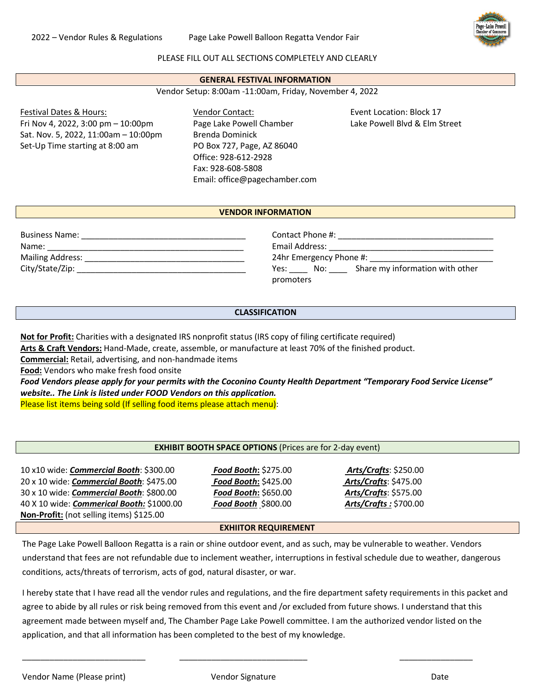2022 – Vendor Rules & Regulations Page Lake Powell Balloon Regatta Vendor Fair



### PLEASE FILL OUT ALL SECTIONS COMPLETELY AND CLEARLY

#### **GENERAL FESTIVAL INFORMATION**

Vendor Setup: 8:00am -11:00am, Friday, November 4, 2022

Festival Dates & Hours: Fri Nov 4, 2022, 3:00 pm – 10:00pm Sat. Nov. 5, 2022, 11:00am – 10:00pm Set-Up Time starting at 8:00 am

Vendor Contact: Page Lake Powell Chamber Brenda Dominick PO Box 727, Page, AZ 86040 Office: 928-612-2928 Fax: 928-608-5808 Email: office@pagechamber.com Event Location: Block 17 Lake Powell Blvd & Elm Street

### **VENDOR INFORMATION**

| <b>Business Name:</b>                      |  |
|--------------------------------------------|--|
| Name:                                      |  |
| <b>Mailing Address:</b><br>City/State/Zip: |  |
|                                            |  |

Contact Phone #: \_\_\_\_\_\_\_\_\_\_\_\_\_\_\_\_\_\_\_\_\_\_\_\_\_\_\_\_\_\_\_\_\_\_ Email Address: \_\_\_\_\_\_\_\_\_\_\_\_\_\_\_\_\_\_\_\_\_\_\_\_\_\_\_\_\_\_\_\_\_\_\_\_ 24hr Emergency Phone #: \_\_\_\_\_\_\_\_\_\_\_\_\_\_\_\_\_\_\_\_\_\_\_\_\_\_\_ Yes: \_\_\_\_\_ No: \_\_\_\_ Share my information with other promoters

# **CLASSIFICATION**

**Not for Profit:** Charities with a designated IRS nonprofit status (IRS copy of filing certificate required)

**Arts & Craft Vendors:** Hand-Made, create, assemble, or manufacture at least 70% of the finished product.

**Commercial:** Retail, advertising, and non-handmade items

**Food:** Vendors who make fresh food onsite

*Food Vendors please apply for your permits with the Coconino County Health Department "Temporary Food Service License" website.. The Link is listed under FOOD Vendors on this application.*

Please list items being sold (If selling food items please attach menu):

#### **EXHIBIT BOOTH SPACE OPTIONS** (Prices are for 2-day event)

10 x10 wide: *Commercial Booth*: \$300.00 *Food Booth***:** \$275.00 *Arts/Crafts*: \$250.00 20 x 10 wide: *Commercial Booth*: \$475.00 *Food Booth***:** \$425.00 *Arts/Crafts*: \$475.00 30 x 10 wide: *Commercial Booth*: \$800.00 *Food Booth***:** \$650.00 *Arts/Crafts*: \$575.00 40 X 10 wide: *Commerical Booth:* \$1000.00 *Food Booth* \$800.00 *Arts/Crafts :* \$700.00 **Non-Profit:** (not selling items) \$125.00

#### **EXHIITOR REQUIREMENT**

The Page Lake Powell Balloon Regatta is a rain or shine outdoor event, and as such, may be vulnerable to weather. Vendors understand that fees are not refundable due to inclement weather, interruptions in festival schedule due to weather, dangerous conditions, acts/threats of terrorism, acts of god, natural disaster, or war.

I hereby state that I have read all the vendor rules and regulations, and the fire department safety requirements in this packet and agree to abide by all rules or risk being removed from this event and /or excluded from future shows. I understand that this agreement made between myself and, The Chamber Page Lake Powell committee. I am the authorized vendor listed on the application, and that all information has been completed to the best of my knowledge.

Vendor Name (Please print) and Vendor Signature and Date Date Date Date Date

\_\_\_\_\_\_\_\_\_\_\_\_\_\_\_\_\_\_\_\_\_\_\_\_\_\_\_ \_\_\_\_\_\_\_\_\_\_\_\_\_\_\_\_\_\_\_\_\_\_\_\_\_\_\_\_ \_\_\_\_\_\_\_\_\_\_\_\_\_\_\_\_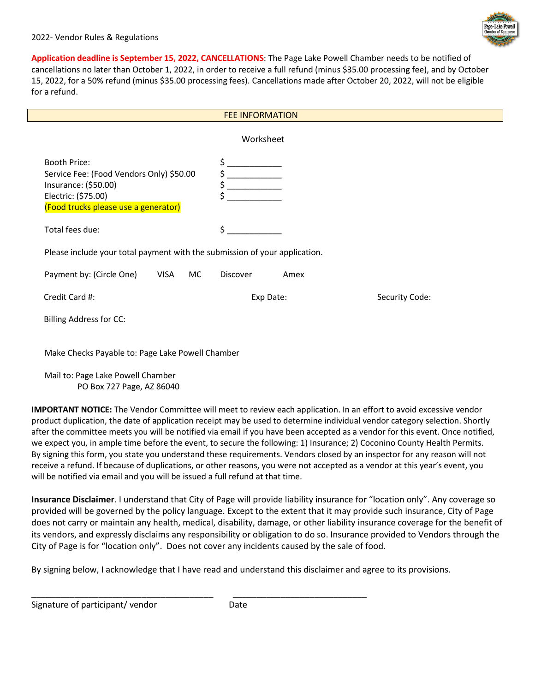**Application deadline is September 15, 2022, CANCELLATIONS**: The Page Lake Powell Chamber needs to be notified of cancellations no later than October 1, 2022, in order to receive a full refund (minus \$35.00 processing fee), and by October 15, 2022, for a 50% refund (minus \$35.00 processing fees). Cancellations made after October 20, 2022, will not be eligible for a refund.

| <b>FEE INFORMATION</b>                                                                                                                                 |           |           |      |                |  |  |
|--------------------------------------------------------------------------------------------------------------------------------------------------------|-----------|-----------|------|----------------|--|--|
| Worksheet                                                                                                                                              |           |           |      |                |  |  |
| <b>Booth Price:</b><br>Service Fee: (Food Vendors Only) \$50.00<br>Insurance: (\$50.00)<br>Electric: (\$75.00)<br>(Food trucks please use a generator) |           | \$<br>\$  |      |                |  |  |
| Total fees due:                                                                                                                                        |           | \$        |      |                |  |  |
| Please include your total payment with the submission of your application.                                                                             |           |           |      |                |  |  |
| Payment by: (Circle One)<br>VISA                                                                                                                       | <b>MC</b> | Discover  | Amex |                |  |  |
| Credit Card #:                                                                                                                                         |           | Exp Date: |      | Security Code: |  |  |
| <b>Billing Address for CC:</b>                                                                                                                         |           |           |      |                |  |  |
| Make Checks Payable to: Page Lake Powell Chamber                                                                                                       |           |           |      |                |  |  |

Mail to: Page Lake Powell Chamber PO Box 727 Page, AZ 86040

**IMPORTANT NOTICE:** The Vendor Committee will meet to review each application. In an effort to avoid excessive vendor product duplication, the date of application receipt may be used to determine individual vendor category selection. Shortly after the committee meets you will be notified via email if you have been accepted as a vendor for this event. Once notified, we expect you, in ample time before the event, to secure the following: 1) Insurance; 2) Coconino County Health Permits. By signing this form, you state you understand these requirements. Vendors closed by an inspector for any reason will not receive a refund. If because of duplications, or other reasons, you were not accepted as a vendor at this year's event, you will be notified via email and you will be issued a full refund at that time.

**Insurance Disclaimer**. I understand that City of Page will provide liability insurance for "location only". Any coverage so provided will be governed by the policy language. Except to the extent that it may provide such insurance, City of Page does not carry or maintain any health, medical, disability, damage, or other liability insurance coverage for the benefit of its vendors, and expressly disclaims any responsibility or obligation to do so. Insurance provided to Vendors through the City of Page is for "location only". Does not cover any incidents caused by the sale of food.

By signing below, I acknowledge that I have read and understand this disclaimer and agree to its provisions.

Signature of participant/ vendor Date

\_\_\_\_\_\_\_\_\_\_\_\_\_\_\_\_\_\_\_\_\_\_\_\_\_\_\_\_\_\_\_\_\_\_\_\_\_\_ \_\_\_\_\_\_\_\_\_\_\_\_\_\_\_\_\_\_\_\_\_\_\_\_\_\_\_\_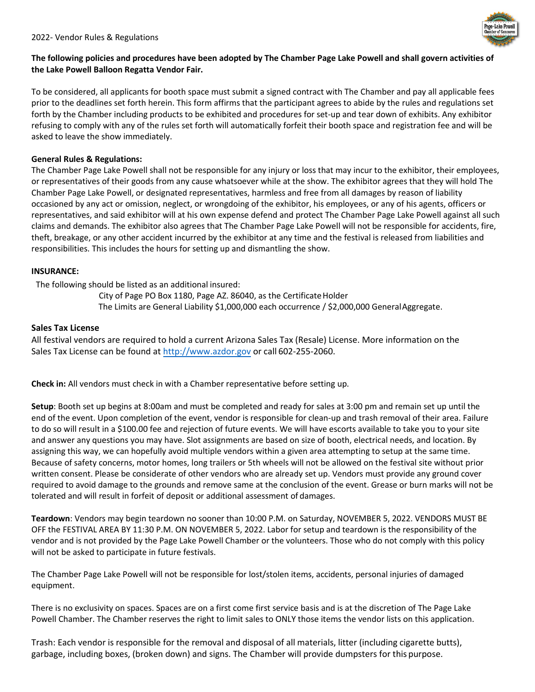

# **The following policies and procedures have been adopted by The Chamber Page Lake Powell and shall govern activities of the Lake Powell Balloon Regatta Vendor Fair.**

To be considered, all applicants for booth space must submit a signed contract with The Chamber and pay all applicable fees prior to the deadlines set forth herein. This form affirms that the participant agrees to abide by the rules and regulations set forth by the Chamber including products to be exhibited and procedures for set-up and tear down of exhibits. Any exhibitor refusing to comply with any of the rules set forth will automatically forfeit their booth space and registration fee and will be asked to leave the show immediately.

# **General Rules & Regulations:**

The Chamber Page Lake Powell shall not be responsible for any injury or loss that may incur to the exhibitor, their employees, or representatives of their goods from any cause whatsoever while at the show. The exhibitor agrees that they will hold The Chamber Page Lake Powell, or designated representatives, harmless and free from all damages by reason of liability occasioned by any act or omission, neglect, or wrongdoing of the exhibitor, his employees, or any of his agents, officers or representatives, and said exhibitor will at his own expense defend and protect The Chamber Page Lake Powell against all such claims and demands. The exhibitor also agrees that The Chamber Page Lake Powell will not be responsible for accidents, fire, theft, breakage, or any other accident incurred by the exhibitor at any time and the festival is released from liabilities and responsibilities. This includes the hours for setting up and dismantling the show.

# **INSURANCE:**

The following should be listed as an additional insured:

City of Page PO Box 1180, Page AZ. 86040, as the Certificate Holder The Limits are General Liability \$1,000,000 each occurrence / \$2,000,000 GeneralAggregate.

### **Sales Tax License**

All festival vendors are required to hold a current Arizona Sales Tax (Resale) License. More information on the Sales Tax License can be found at [http://www.azdor.gov](http://www.azdor.gov/) or call 602-255-2060.

**Check in:** All vendors must check in with a Chamber representative before setting up.

**Setup**: Booth set up begins at 8:00am and must be completed and ready for sales at 3:00 pm and remain set up until the end of the event. Upon completion of the event, vendor is responsible for clean-up and trash removal of their area. Failure to do so will result in a \$100.00 fee and rejection of future events. We will have escorts available to take you to your site and answer any questions you may have. Slot assignments are based on size of booth, electrical needs, and location. By assigning this way, we can hopefully avoid multiple vendors within a given area attempting to setup at the same time. Because of safety concerns, motor homes, long trailers or 5th wheels will not be allowed on the festival site without prior written consent. Please be considerate of other vendors who are already set up. Vendors must provide any ground cover required to avoid damage to the grounds and remove same at the conclusion of the event. Grease or burn marks will not be tolerated and will result in forfeit of deposit or additional assessment of damages.

**Teardown**: Vendors may begin teardown no sooner than 10:00 P.M. on Saturday, NOVEMBER 5, 2022. VENDORS MUST BE OFF the FESTIVAL AREA BY 11:30 P.M. ON NOVEMBER 5, 2022. Labor for setup and teardown is the responsibility of the vendor and is not provided by the Page Lake Powell Chamber or the volunteers. Those who do not comply with this policy will not be asked to participate in future festivals.

The Chamber Page Lake Powell will not be responsible for lost/stolen items, accidents, personal injuries of damaged equipment.

There is no exclusivity on spaces. Spaces are on a first come first service basis and is at the discretion of The Page Lake Powell Chamber. The Chamber reserves the right to limit sales to ONLY those items the vendor lists on this application.

Trash: Each vendor is responsible for the removal and disposal of all materials, litter (including cigarette butts), garbage, including boxes, (broken down) and signs. The Chamber will provide dumpsters for this purpose.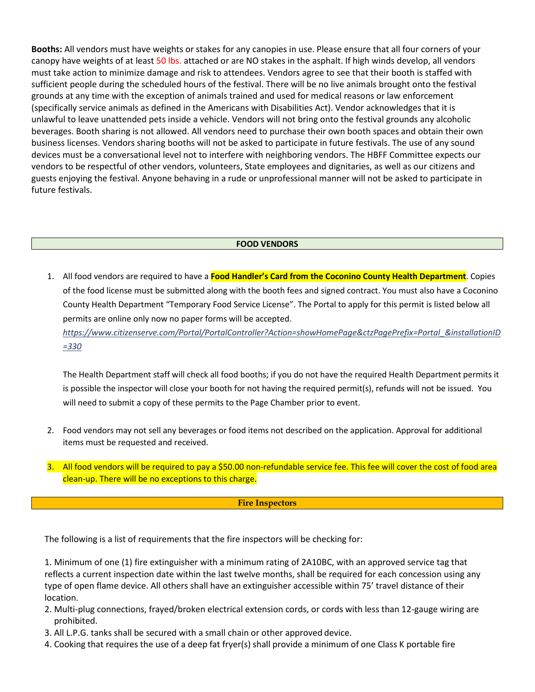**Booths:** All vendors must have weights or stakes for any canopies in use. Please ensure that all four corners of your canopy have weights of at least 50 lbs. attached or are NO stakes in the asphalt. If high winds develop, all vendors must take action to minimize damage and risk to attendees. Vendors agree to see that their booth is staffed with sufficient people during the scheduled hours of the festival. There will be no live animals brought onto the festival grounds at any time with the exception of animals trained and used for medical reasons or law enforcement (specifically service animals as defined in the Americans with Disabilities Act). Vendor acknowledges that it is unlawful to leave unattended pets inside a vehicle. Vendors will not bring onto the festival grounds any alcoholic beverages. Booth sharing is not allowed. All vendors need to purchase their own booth spaces and obtain their own business licenses. Vendors sharing booths will not be asked to participate in future festivals. The use of any sound devices must be a conversational level not to interfere with neighboring vendors. The HBFF Committee expects our vendors to be respectful of other vendors, volunteers, State employees and dignitaries, as well as our citizens and guests enjoying the festival. Anyone behaving in a rude or unprofessional manner will not be asked to participate in future festivals.

### **FOOD VENDORS**

1. All food vendors are required to have a **Food Handler's Card from the Coconino County Health Department**. Copies of the food license must be submitted along with the booth fees and signed contract. You must also have a Coconino County Health Department "Temporary Food Service License". The Portal to apply for this permit is listed below all permits are online only now no paper forms will be accepted.

*https://www.citizenserve.com/Portal/PortalController?Action=showHomePage&ctzPagePrefix=Portal\_&installationID =330*

The Health Department staff will check all food booths; if you do not have the required Health Department permits it is possible the inspector will close your booth for not having the required permit(s), refunds will not be issued. You will need to submit a copy of these permits to the Page Chamber prior to event.

- 2. Food vendors may not sell any beverages or food items not described on the application. Approval for additional items must be requested and received.
- 3. All food vendors will be required to pay a \$50.00 non-refundable service fee. This fee will cover the cost of food area clean-up. There will be no exceptions to this charge.

#### **Fire Inspectors**

The following is a list of requirements that the fire inspectors will be checking for:

1. Minimum of one (1) fire extinguisher with a minimum rating of 2A10BC, with an approved service tag that reflects a current inspection date within the last twelve months, shall be required for each concession using any type of open flame device. All others shall have an extinguisher accessible within 75' travel distance of their location.

- 2. Multi-plug connections, frayed/broken electrical extension cords, or cords with less than 12-gauge wiring are prohibited.
- 3. All L.P.G. tanks shall be secured with a small chain or other approved device.
- 4. Cooking that requires the use of a deep fat fryer(s) shall provide a minimum of one Class K portable fire